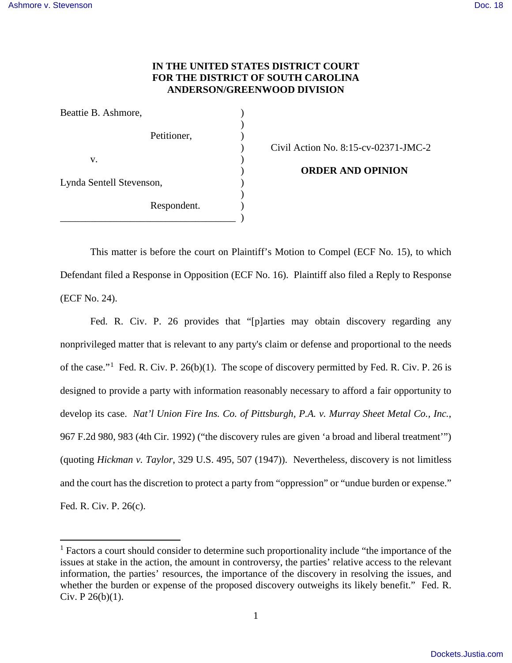-

## **IN THE UNITED STATES DISTRICT COURT FOR THE DISTRICT OF SOUTH CAROLINA ANDERSON/GREENWOOD DIVISION**

| Beattie B. Ashmore,      |             |  |
|--------------------------|-------------|--|
|                          |             |  |
|                          | Petitioner, |  |
|                          |             |  |
| V.                       |             |  |
| Lynda Sentell Stevenson, |             |  |
|                          |             |  |
|                          | Respondent. |  |
|                          |             |  |

) Civil Action No. 8:15-cv-02371-JMC-2

) **ORDER AND OPINION** 

This matter is before the court on Plaintiff's Motion to Compel (ECF No. 15), to which Defendant filed a Response in Opposition (ECF No. 16). Plaintiff also filed a Reply to Response (ECF No. 24).

Fed. R. Civ. P. 26 provides that "[p]arties may obtain discovery regarding any nonprivileged matter that is relevant to any party's claim or defense and proportional to the needs of the case."<sup>[1](#page-0-0)</sup> Fed. R. Civ. P. 26(b)(1). The scope of discovery permitted by Fed. R. Civ. P. 26 is designed to provide a party with information reasonably necessary to afford a fair opportunity to develop its case. *Nat'l Union Fire Ins. Co. of Pittsburgh, P.A. v. Murray Sheet Metal Co., Inc.*, 967 F.2d 980, 983 (4th Cir. 1992) ("the discovery rules are given 'a broad and liberal treatment'") (quoting *Hickman v. Taylor*, 329 U.S. 495, 507 (1947)). Nevertheless, discovery is not limitless and the court has the discretion to protect a party from "oppression" or "undue burden or expense." Fed. R. Civ. P. 26(c).

1

<span id="page-0-0"></span><sup>&</sup>lt;sup>1</sup> Factors a court should consider to determine such proportionality include "the importance of the issues at stake in the action, the amount in controversy, the parties' relative access to the relevant information, the parties' resources, the importance of the discovery in resolving the issues, and whether the burden or expense of the proposed discovery outweighs its likely benefit." Fed. R. Civ. P 26(b)(1).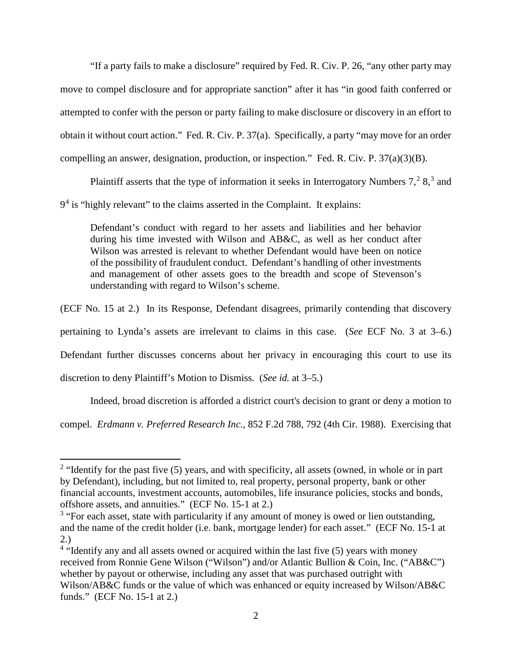"If a party fails to make a disclosure" required by Fed. R. Civ. P. 26, "any other party may move to compel disclosure and for appropriate sanction" after it has "in good faith conferred or attempted to confer with the person or party failing to make disclosure or discovery in an effort to obtain it without court action." Fed. R. Civ. P. 37(a). Specifically, a party "may move for an order compelling an answer, designation, production, or inspection." Fed. R. Civ. P. 37(a)(3)(B).

Plaintiff asserts that the type of information it seeks in Interrogatory Numbers  $7, <sup>2</sup> 8, <sup>3</sup>$  $7, <sup>2</sup> 8, <sup>3</sup>$  $7, <sup>2</sup> 8, <sup>3</sup>$  $7, <sup>2</sup> 8, <sup>3</sup>$  $7, <sup>2</sup> 8, <sup>3</sup>$  and 9<sup>[4](#page-1-2)</sup> is "highly relevant" to the claims asserted in the Complaint. It explains:

Defendant's conduct with regard to her assets and liabilities and her behavior during his time invested with Wilson and AB&C, as well as her conduct after Wilson was arrested is relevant to whether Defendant would have been on notice of the possibility of fraudulent conduct. Defendant's handling of other investments and management of other assets goes to the breadth and scope of Stevenson's understanding with regard to Wilson's scheme.

(ECF No. 15 at 2.) In its Response, Defendant disagrees, primarily contending that discovery

pertaining to Lynda's assets are irrelevant to claims in this case. (*See* ECF No. 3 at 3–6.)

Defendant further discusses concerns about her privacy in encouraging this court to use its

discretion to deny Plaintiff's Motion to Dismiss. (*See id.* at 3–5.)

<u>.</u>

Indeed, broad discretion is afforded a district court's decision to grant or deny a motion to

compel. *Erdmann v. Preferred Research Inc.*, 852 F.2d 788, 792 (4th Cir. 1988). Exercising that

<span id="page-1-0"></span> $2$  "Identify for the past five (5) years, and with specificity, all assets (owned, in whole or in part by Defendant), including, but not limited to, real property, personal property, bank or other financial accounts, investment accounts, automobiles, life insurance policies, stocks and bonds, offshore assets, and annuities." (ECF No. 15-1 at 2.)

<span id="page-1-1"></span><sup>&</sup>lt;sup>3</sup> "For each asset, state with particularity if any amount of money is owed or lien outstanding, and the name of the credit holder (i.e. bank, mortgage lender) for each asset." (ECF No. 15-1 at 2.)

<span id="page-1-2"></span><sup>&</sup>lt;sup>4</sup> "Identify any and all assets owned or acquired within the last five (5) years with money received from Ronnie Gene Wilson ("Wilson") and/or Atlantic Bullion & Coin, Inc. ("AB&C") whether by payout or otherwise, including any asset that was purchased outright with Wilson/AB&C funds or the value of which was enhanced or equity increased by Wilson/AB&C funds." (ECF No. 15-1 at 2.)